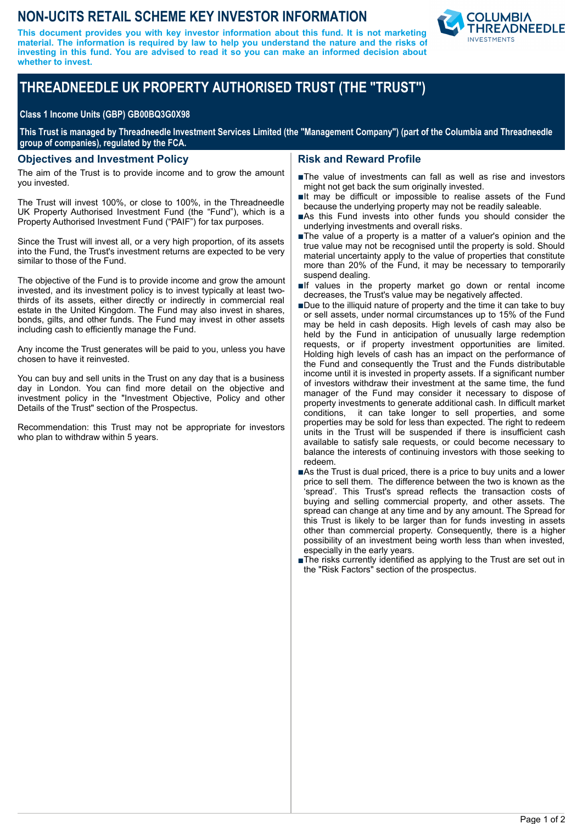# **NON-UCITS RETAIL SCHEME KEY INVESTOR INFORMATION**

**This document provides you with key investor information about this fund. It is not marketing material. The information is required by law to help you understand the nature and the risks of investing in this fund. You are advised to read it so you can make an informed decision about whether to invest.**



# **THREADNEEDLE UK PROPERTY AUTHORISED TRUST (THE "TRUST")**

#### **Class 1 Income Units (GBP) GB00BQ3G0X98**

**This Trust is managed by Threadneedle Investment Services Limited (the "Management Company") (part of the Columbia and Threadneedle group of companies), regulated by the FCA.**

#### **Objectives and Investment Policy**

The aim of the Trust is to provide income and to grow the amount you invested.

The Trust will invest 100%, or close to 100%, in the Threadneedle UK Property Authorised Investment Fund (the "Fund"), which is a Property Authorised Investment Fund ("PAIF") for tax purposes.

Since the Trust will invest all, or a very high proportion, of its assets into the Fund, the Trust's investment returns are expected to be very similar to those of the Fund.

The objective of the Fund is to provide income and grow the amount invested, and its investment policy is to invest typically at least twothirds of its assets, either directly or indirectly in commercial real estate in the United Kingdom. The Fund may also invest in shares, bonds, gilts, and other funds. The Fund may invest in other assets including cash to efficiently manage the Fund.

Any income the Trust generates will be paid to you, unless you have chosen to have it reinvested.

You can buy and sell units in the Trust on any day that is a business day in London. You can find more detail on the objective and investment policy in the "Investment Objective, Policy and other Details of the Trust" section of the Prospectus.

Recommendation: this Trust may not be appropriate for investors who plan to withdraw within 5 years.

#### **Risk and Reward Profile**

- nThe value of investments can fall as well as rise and investors might not get back the sum originally invested.
- $\blacksquare$ It may be difficult or impossible to realise assets of the Fund because the underlying property may not be readily saleable.
- nAs this Fund invests into other funds you should consider the underlying investments and overall risks.
- The value of a property is a matter of a valuer's opinion and the true value may not be recognised until the property is sold. Should material uncertainty apply to the value of properties that constitute more than 20% of the Fund, it may be necessary to temporarily suspend dealing.
- $\blacksquare$ If values in the property market go down or rental income decreases, the Trust's value may be negatively affected.
- Due to the illiquid nature of property and the time it can take to buy or sell assets, under normal circumstances up to 15% of the Fund may be held in cash deposits. High levels of cash may also be held by the Fund in anticipation of unusually large redemption requests, or if property investment opportunities are limited. Holding high levels of cash has an impact on the performance of the Fund and consequently the Trust and the Funds distributable income until it is invested in property assets. If a significant number of investors withdraw their investment at the same time, the fund manager of the Fund may consider it necessary to dispose of property investments to generate additional cash. In difficult market conditions, it can take longer to sell properties, and some properties may be sold for less than expected. The right to redeem units in the Trust will be suspended if there is insufficient cash available to satisfy sale requests, or could become necessary to balance the interests of continuing investors with those seeking to redeem.
- ■As the Trust is dual priced, there is a price to buy units and a lower price to sell them. The difference between the two is known as the 'spread'. This Trust's spread reflects the transaction costs of buying and selling commercial property, and other assets. The spread can change at any time and by any amount. The Spread for this Trust is likely to be larger than for funds investing in assets other than commercial property. Consequently, there is a higher possibility of an investment being worth less than when invested, especially in the early years.
- ■The risks currently identified as applying to the Trust are set out in the "Risk Factors" section of the prospectus.